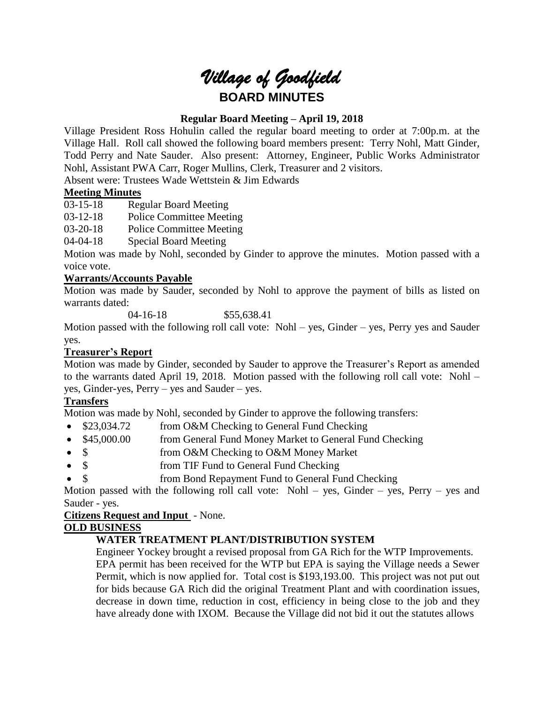# *Village of Goodfield* **BOARD MINUTES**

## **Regular Board Meeting – April 19, 2018**

Village President Ross Hohulin called the regular board meeting to order at 7:00p.m. at the Village Hall. Roll call showed the following board members present: Terry Nohl, Matt Ginder, Todd Perry and Nate Sauder. Also present: Attorney, Engineer, Public Works Administrator Nohl, Assistant PWA Carr, Roger Mullins, Clerk, Treasurer and 2 visitors.

Absent were: Trustees Wade Wettstein & Jim Edwards

## **Meeting Minutes**

03-15-18 Regular Board Meeting

03-12-18 Police Committee Meeting

03-20-18 Police Committee Meeting

04-04-18 Special Board Meeting

Motion was made by Nohl, seconded by Ginder to approve the minutes. Motion passed with a voice vote.

## **Warrants/Accounts Payable**

Motion was made by Sauder, seconded by Nohl to approve the payment of bills as listed on warrants dated:

04-16-18 \$55,638.41

Motion passed with the following roll call vote: Nohl – yes, Ginder – yes, Perry yes and Sauder yes.

## **Treasurer's Report**

Motion was made by Ginder, seconded by Sauder to approve the Treasurer's Report as amended to the warrants dated April 19, 2018. Motion passed with the following roll call vote: Nohl – yes, Ginder-yes, Perry – yes and Sauder – yes.

## **Transfers**

Motion was made by Nohl, seconded by Ginder to approve the following transfers:

- \$23,034.72 from O&M Checking to General Fund Checking
- \$45,000.00 from General Fund Money Market to General Fund Checking
- \$ from O&M Checking to O&M Money Market
- \$ from TIF Fund to General Fund Checking
- \$ from Bond Repayment Fund to General Fund Checking

Motion passed with the following roll call vote: Nohl – yes, Ginder – yes, Perry – yes and Sauder - yes.

**Citizens Request and Input** - None.

## **OLD BUSINESS**

## **WATER TREATMENT PLANT/DISTRIBUTION SYSTEM**

Engineer Yockey brought a revised proposal from GA Rich for the WTP Improvements. EPA permit has been received for the WTP but EPA is saying the Village needs a Sewer Permit, which is now applied for. Total cost is \$193,193.00. This project was not put out for bids because GA Rich did the original Treatment Plant and with coordination issues, decrease in down time, reduction in cost, efficiency in being close to the job and they have already done with IXOM. Because the Village did not bid it out the statutes allows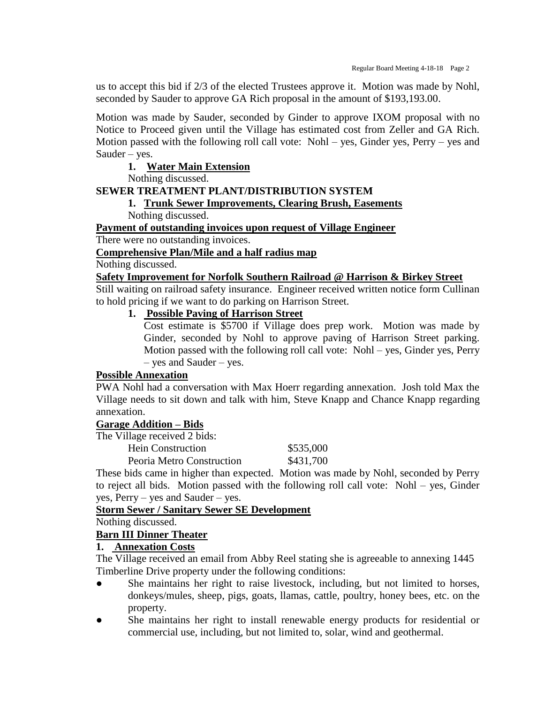us to accept this bid if 2/3 of the elected Trustees approve it. Motion was made by Nohl, seconded by Sauder to approve GA Rich proposal in the amount of \$193,193.00.

Motion was made by Sauder, seconded by Ginder to approve IXOM proposal with no Notice to Proceed given until the Village has estimated cost from Zeller and GA Rich. Motion passed with the following roll call vote: Nohl – yes, Ginder yes, Perry – yes and Sauder – yes.

#### **1. Water Main Extension**

Nothing discussed.

#### **SEWER TREATMENT PLANT/DISTRIBUTION SYSTEM**

#### **1. Trunk Sewer Improvements, Clearing Brush, Easements** Nothing discussed.

**Payment of outstanding invoices upon request of Village Engineer**

There were no outstanding invoices.

#### **Comprehensive Plan/Mile and a half radius map**

Nothing discussed.

#### **Safety Improvement for Norfolk Southern Railroad @ Harrison & Birkey Street**

Still waiting on railroad safety insurance. Engineer received written notice form Cullinan to hold pricing if we want to do parking on Harrison Street.

## **1. Possible Paving of Harrison Street**

Cost estimate is \$5700 if Village does prep work. Motion was made by Ginder, seconded by Nohl to approve paving of Harrison Street parking. Motion passed with the following roll call vote: Nohl – yes, Ginder yes, Perry – yes and Sauder – yes.

#### **Possible Annexation**

PWA Nohl had a conversation with Max Hoerr regarding annexation. Josh told Max the Village needs to sit down and talk with him, Steve Knapp and Chance Knapp regarding annexation.

#### **Garage Addition – Bids**

The Village received 2 bids:

| <b>Hein Construction</b>  | \$535,000 |
|---------------------------|-----------|
| Peoria Metro Construction | \$431,700 |

These bids came in higher than expected. Motion was made by Nohl, seconded by Perry to reject all bids. Motion passed with the following roll call vote: Nohl – yes, Ginder yes, Perry – yes and Sauder – yes.

## **Storm Sewer / Sanitary Sewer SE Development**

Nothing discussed.

## **Barn III Dinner Theater**

#### **1. Annexation Costs**

The Village received an email from Abby Reel stating she is agreeable to annexing 1445 Timberline Drive property under the following conditions:

- She maintains her right to raise livestock, including, but not limited to horses, donkeys/mules, sheep, pigs, goats, llamas, cattle, poultry, honey bees, etc. on the property.
- She maintains her right to install renewable energy products for residential or commercial use, including, but not limited to, solar, wind and geothermal.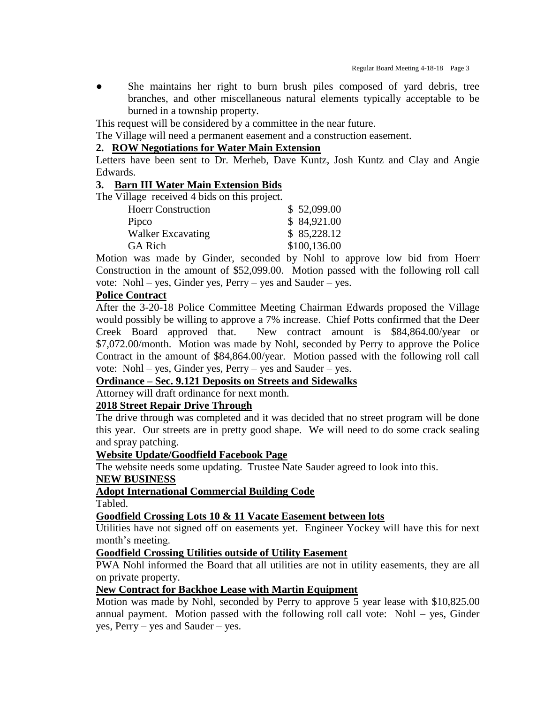• She maintains her right to burn brush piles composed of yard debris, tree branches, and other miscellaneous natural elements typically acceptable to be burned in a township property.

This request will be considered by a committee in the near future.

The Village will need a permanent easement and a construction easement.

#### **2. ROW Negotiations for Water Main Extension**

Letters have been sent to Dr. Merheb, Dave Kuntz, Josh Kuntz and Clay and Angie Edwards.

#### **3. Barn III Water Main Extension Bids**

The Village received 4 bids on this project.

|  | \$52,099.00  |
|--|--------------|
|  | \$84,921.00  |
|  | \$85,228.12  |
|  | \$100,136.00 |
|  |              |

Motion was made by Ginder, seconded by Nohl to approve low bid from Hoerr Construction in the amount of \$52,099.00. Motion passed with the following roll call vote: Nohl – yes, Ginder yes, Perry – yes and Sauder – yes.

#### **Police Contract**

After the 3-20-18 Police Committee Meeting Chairman Edwards proposed the Village would possibly be willing to approve a 7% increase. Chief Potts confirmed that the Deer Creek Board approved that. New contract amount is \$84,864.00/year or \$7,072.00/month. Motion was made by Nohl, seconded by Perry to approve the Police Contract in the amount of \$84,864.00/year. Motion passed with the following roll call vote: Nohl – yes, Ginder yes, Perry – yes and Sauder – yes.

## **Ordinance – Sec. 9.121 Deposits on Streets and Sidewalks**

Attorney will draft ordinance for next month.

## **2018 Street Repair Drive Through**

The drive through was completed and it was decided that no street program will be done this year. Our streets are in pretty good shape. We will need to do some crack sealing and spray patching.

#### **Website Update/Goodfield Facebook Page**

The website needs some updating. Trustee Nate Sauder agreed to look into this.

#### **NEW BUSINESS**

#### **Adopt International Commercial Building Code**

Tabled.

#### **Goodfield Crossing Lots 10 & 11 Vacate Easement between lots**

Utilities have not signed off on easements yet. Engineer Yockey will have this for next month's meeting.

#### **Goodfield Crossing Utilities outside of Utility Easement**

PWA Nohl informed the Board that all utilities are not in utility easements, they are all on private property.

#### **New Contract for Backhoe Lease with Martin Equipment**

Motion was made by Nohl, seconded by Perry to approve 5 year lease with \$10,825.00 annual payment. Motion passed with the following roll call vote: Nohl – yes, Ginder yes, Perry – yes and Sauder – yes.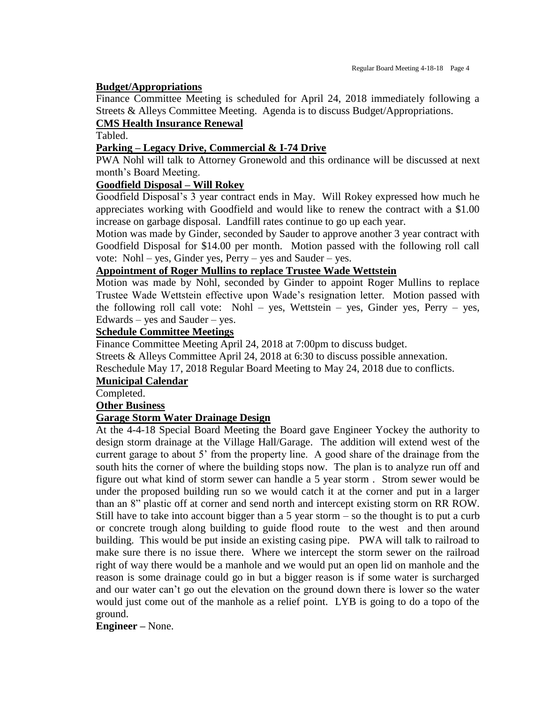#### **Budget/Appropriations**

Finance Committee Meeting is scheduled for April 24, 2018 immediately following a Streets & Alleys Committee Meeting. Agenda is to discuss Budget/Appropriations.

## **CMS Health Insurance Renewal**

Tabled.

## **Parking – Legacy Drive, Commercial & I-74 Drive**

PWA Nohl will talk to Attorney Gronewold and this ordinance will be discussed at next month's Board Meeting.

## **Goodfield Disposal – Will Rokey**

Goodfield Disposal's 3 year contract ends in May. Will Rokey expressed how much he appreciates working with Goodfield and would like to renew the contract with a \$1.00 increase on garbage disposal. Landfill rates continue to go up each year.

Motion was made by Ginder, seconded by Sauder to approve another 3 year contract with Goodfield Disposal for \$14.00 per month. Motion passed with the following roll call vote: Nohl – yes, Ginder yes, Perry – yes and Sauder – yes.

## **Appointment of Roger Mullins to replace Trustee Wade Wettstein**

Motion was made by Nohl, seconded by Ginder to appoint Roger Mullins to replace Trustee Wade Wettstein effective upon Wade's resignation letter. Motion passed with the following roll call vote: Nohl – yes, Wettstein – yes, Ginder yes, Perry – yes, Edwards – yes and Sauder – yes.

## **Schedule Committee Meetings**

Finance Committee Meeting April 24, 2018 at 7:00pm to discuss budget.

Streets & Alleys Committee April 24, 2018 at 6:30 to discuss possible annexation.

Reschedule May 17, 2018 Regular Board Meeting to May 24, 2018 due to conflicts.

## **Municipal Calendar**

Completed.

**Other Business**

## **Garage Storm Water Drainage Design**

At the 4-4-18 Special Board Meeting the Board gave Engineer Yockey the authority to design storm drainage at the Village Hall/Garage. The addition will extend west of the current garage to about 5' from the property line. A good share of the drainage from the south hits the corner of where the building stops now. The plan is to analyze run off and figure out what kind of storm sewer can handle a 5 year storm . Strom sewer would be under the proposed building run so we would catch it at the corner and put in a larger than an 8" plastic off at corner and send north and intercept existing storm on RR ROW. Still have to take into account bigger than a 5 year storm  $-$  so the thought is to put a curb or concrete trough along building to guide flood route to the west and then around building. This would be put inside an existing casing pipe. PWA will talk to railroad to make sure there is no issue there. Where we intercept the storm sewer on the railroad right of way there would be a manhole and we would put an open lid on manhole and the reason is some drainage could go in but a bigger reason is if some water is surcharged and our water can't go out the elevation on the ground down there is lower so the water would just come out of the manhole as a relief point. LYB is going to do a topo of the ground.

**Engineer –** None.